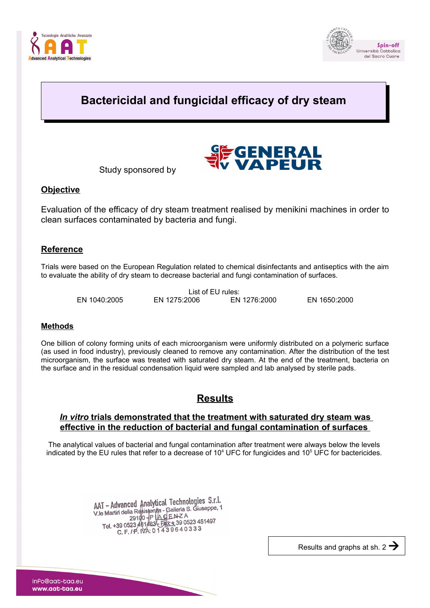



# **Bactericidal and fungicidal efficacy of dry steam**



# **Objective**

Evaluation of the efficacy of dry steam treatment realised by menikini machines in order to clean surfaces contaminated by bacteria and fungi.

**E**GENERAL

## **Reference**

Trials were based on the European Regulation related to chemical disinfectants and antiseptics with the aim to evaluate the ability of dry steam to decrease bacterial and fungi contamination of surfaces.

| List of EU rules: |              |              |              |  |  |  |  |  |
|-------------------|--------------|--------------|--------------|--|--|--|--|--|
| EN 1040:2005      | EN 1275:2006 | EN 1276:2000 | EN 1650:2000 |  |  |  |  |  |

#### **Methods**

One billion of colony forming units of each microorganism were uniformly distributed on a polymeric surface (as used in food industry), previously cleaned to remove any contamination. After the distribution of the test microorganism, the surface was treated with saturated dry steam. At the end of the treatment, bacteria on the surface and in the residual condensation liquid were sampled and lab analysed by sterile pads.

# **Results**

### *In vitro* **trials demonstrated that the treatment with saturated dry steam was effective in the reduction of bacterial and fungal contamination of surfaces**

The analytical values of bacterial and fungal contamination after treatment were always below the levels indicated by the EU rules that refer to a decrease of  $10<sup>4</sup>$  UFC for fungicides and  $10<sup>5</sup>$  UFC for bactericides.

> AAT - Advanced Analytical Technologies S.r.l.<br>Religions - Galleria S. Giuseppe, 1 AAT - Advanced Analytical Technologies S.n.d<br>V.le Martin della Resistenzia - Galleria S. Giuseppe, 1 e Martin della Resistenza<br>29100 - P | A G E N Z A<br>Tel. +39 0523 461483 - F43 9 0523 451497 C. F. /P. IVA: 01439640333

> > Results and graphs at sh. 2  $\rightarrow$

inPo@aat-taa.eu www.aat-taa.eu